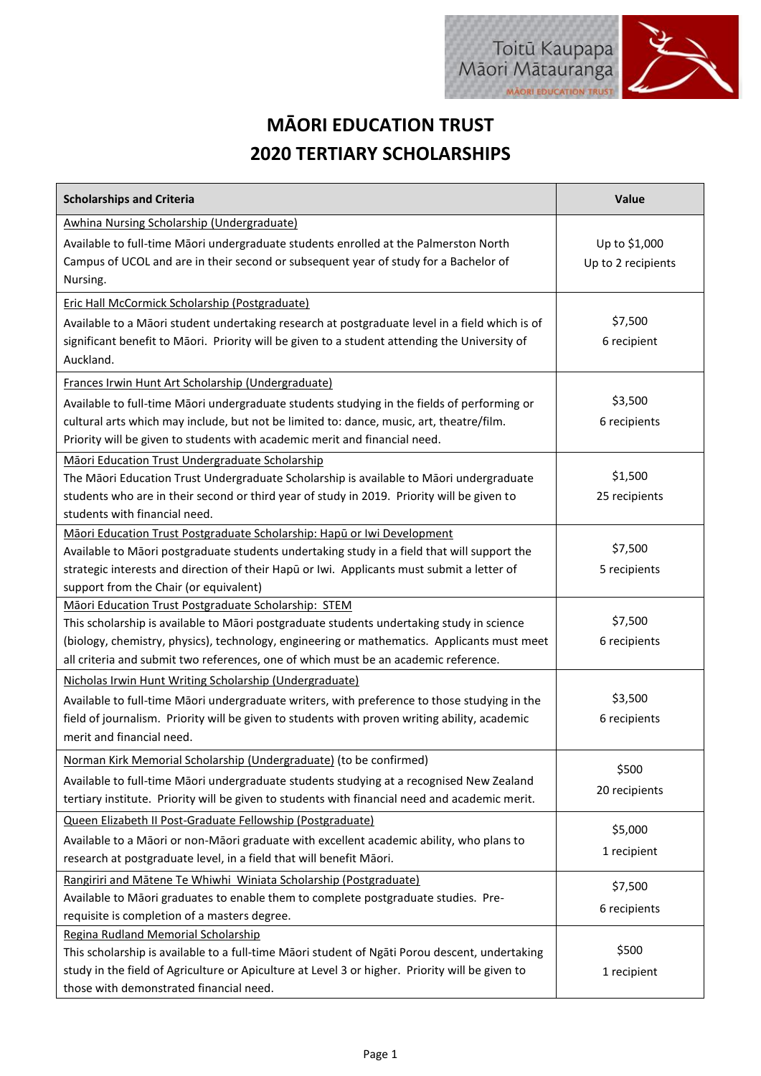## **MĀORI EDUCATION TRUST 2020 TERTIARY SCHOLARSHIPS**

| <b>Scholarships and Criteria</b>                                                                                                                                                                                                                                                                                                        | Value                               |
|-----------------------------------------------------------------------------------------------------------------------------------------------------------------------------------------------------------------------------------------------------------------------------------------------------------------------------------------|-------------------------------------|
| Awhina Nursing Scholarship (Undergraduate)<br>Available to full-time Māori undergraduate students enrolled at the Palmerston North<br>Campus of UCOL and are in their second or subsequent year of study for a Bachelor of<br>Nursing.                                                                                                  | Up to \$1,000<br>Up to 2 recipients |
| <b>Eric Hall McCormick Scholarship (Postgraduate)</b><br>Available to a Māori student undertaking research at postgraduate level in a field which is of<br>significant benefit to Māori. Priority will be given to a student attending the University of<br>Auckland.                                                                   | \$7,500<br>6 recipient              |
| Frances Irwin Hunt Art Scholarship (Undergraduate)<br>Available to full-time Māori undergraduate students studying in the fields of performing or<br>cultural arts which may include, but not be limited to: dance, music, art, theatre/film.<br>Priority will be given to students with academic merit and financial need.             | \$3,500<br>6 recipients             |
| Māori Education Trust Undergraduate Scholarship<br>The Māori Education Trust Undergraduate Scholarship is available to Māori undergraduate<br>students who are in their second or third year of study in 2019. Priority will be given to<br>students with financial need.                                                               | \$1,500<br>25 recipients            |
| Māori Education Trust Postgraduate Scholarship: Hapū or Iwi Development<br>Available to Māori postgraduate students undertaking study in a field that will support the<br>strategic interests and direction of their Hapū or Iwi. Applicants must submit a letter of<br>support from the Chair (or equivalent)                          | \$7,500<br>5 recipients             |
| Māori Education Trust Postgraduate Scholarship: STEM<br>This scholarship is available to Māori postgraduate students undertaking study in science<br>(biology, chemistry, physics), technology, engineering or mathematics. Applicants must meet<br>all criteria and submit two references, one of which must be an academic reference. | \$7,500<br>6 recipients             |
| Nicholas Irwin Hunt Writing Scholarship (Undergraduate)<br>Available to full-time Māori undergraduate writers, with preference to those studying in the<br>field of journalism. Priority will be given to students with proven writing ability, academic<br>merit and financial need.                                                   | \$3,500<br>6 recipients             |
| Norman Kirk Memorial Scholarship (Undergraduate) (to be confirmed)<br>Available to full-time Māori undergraduate students studying at a recognised New Zealand<br>tertiary institute. Priority will be given to students with financial need and academic merit.                                                                        | \$500<br>20 recipients              |
| Queen Elizabeth II Post-Graduate Fellowship (Postgraduate)<br>Available to a Māori or non-Māori graduate with excellent academic ability, who plans to<br>research at postgraduate level, in a field that will benefit Māori.                                                                                                           | \$5,000<br>1 recipient              |
| Rangiriri and Mātene Te Whiwhi Winiata Scholarship (Postgraduate)<br>Available to Māori graduates to enable them to complete postgraduate studies. Pre-<br>requisite is completion of a masters degree.                                                                                                                                 | \$7,500<br>6 recipients             |
| Regina Rudland Memorial Scholarship<br>This scholarship is available to a full-time Māori student of Ngāti Porou descent, undertaking<br>study in the field of Agriculture or Apiculture at Level 3 or higher. Priority will be given to<br>those with demonstrated financial need.                                                     | \$500<br>1 recipient                |